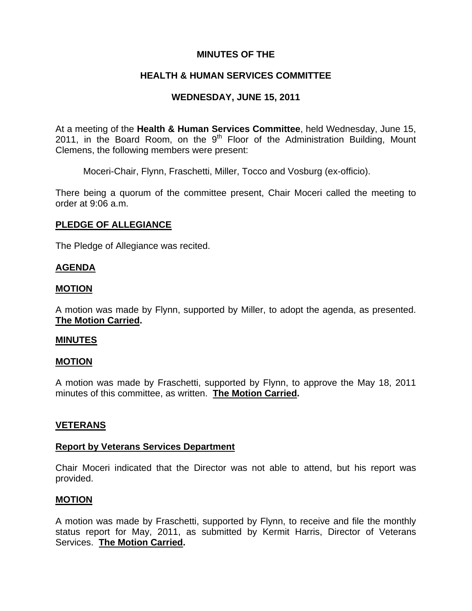# **MINUTES OF THE**

# **HEALTH & HUMAN SERVICES COMMITTEE**

# **WEDNESDAY, JUNE 15, 2011**

At a meeting of the **Health & Human Services Committee**, held Wednesday, June 15, 2011, in the Board Room, on the  $9<sup>th</sup>$  Floor of the Administration Building, Mount Clemens, the following members were present:

Moceri-Chair, Flynn, Fraschetti, Miller, Tocco and Vosburg (ex-officio).

There being a quorum of the committee present, Chair Moceri called the meeting to order at 9:06 a.m.

# **PLEDGE OF ALLEGIANCE**

The Pledge of Allegiance was recited.

## **AGENDA**

## **MOTION**

A motion was made by Flynn, supported by Miller, to adopt the agenda, as presented. **The Motion Carried.** 

## **MINUTES**

## **MOTION**

A motion was made by Fraschetti, supported by Flynn, to approve the May 18, 2011 minutes of this committee, as written. **The Motion Carried.** 

## **VETERANS**

## **Report by Veterans Services Department**

Chair Moceri indicated that the Director was not able to attend, but his report was provided.

## **MOTION**

A motion was made by Fraschetti, supported by Flynn, to receive and file the monthly status report for May, 2011, as submitted by Kermit Harris, Director of Veterans Services. **The Motion Carried.**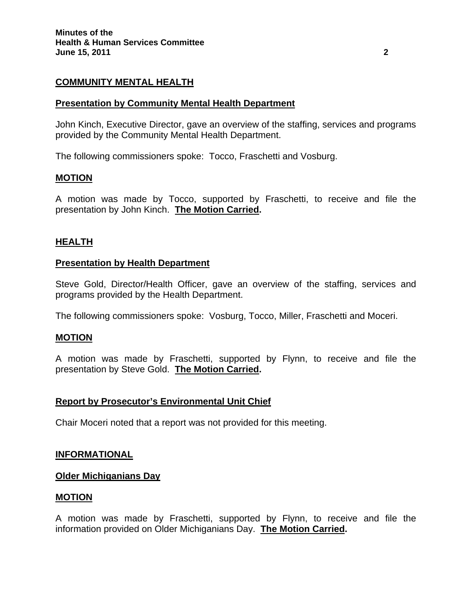# **COMMUNITY MENTAL HEALTH**

## **Presentation by Community Mental Health Department**

John Kinch, Executive Director, gave an overview of the staffing, services and programs provided by the Community Mental Health Department.

The following commissioners spoke: Tocco, Fraschetti and Vosburg.

## **MOTION**

A motion was made by Tocco, supported by Fraschetti, to receive and file the presentation by John Kinch. **The Motion Carried.** 

## **HEALTH**

#### **Presentation by Health Department**

Steve Gold, Director/Health Officer, gave an overview of the staffing, services and programs provided by the Health Department.

The following commissioners spoke: Vosburg, Tocco, Miller, Fraschetti and Moceri.

#### **MOTION**

A motion was made by Fraschetti, supported by Flynn, to receive and file the presentation by Steve Gold. **The Motion Carried.** 

## **Report by Prosecutor's Environmental Unit Chief**

Chair Moceri noted that a report was not provided for this meeting.

#### **INFORMATIONAL**

#### **Older Michiganians Day**

#### **MOTION**

A motion was made by Fraschetti, supported by Flynn, to receive and file the information provided on Older Michiganians Day. **The Motion Carried.**